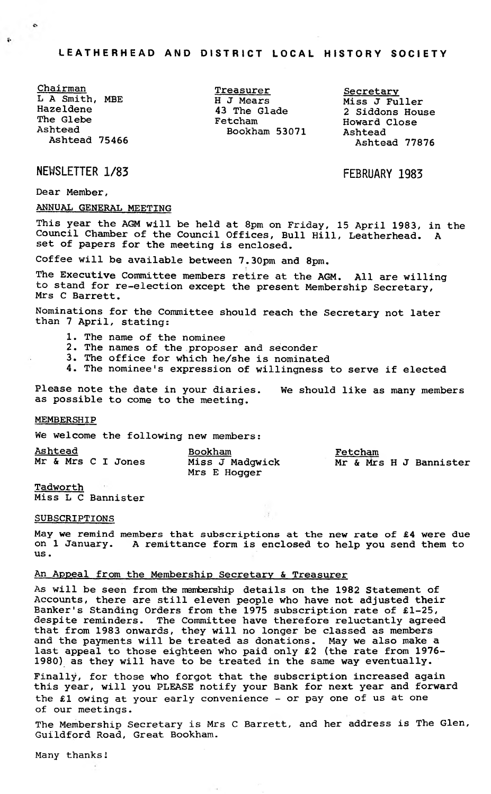**Chairman L A Smith, MBE Hazeldene The Glebe Ashtead Ashtead 75466**

 $\ddot{\phantom{0}}$ 

 $\ddot{\mathbf{r}}$ 

**Treasurer H J Mears 43 The Glade Fetcham Bookham 53071**

**Secretary Miss J Fuller 2 Siddons House Howard Close Ashtead Ashtead 77876**

# NEWSLETTER 1/83 FEBRUARY 1983

**Dear Member,**

# **ANNUAL GENERAL MEETING**

**This year the AGM will be held at 8pm on Friday, 15 April 1983, in the Council Chamber of the Council Offices, Bull Hill, Leatherhead. A set of papers for the meeting is enclosed.**

**Coffee will be available between 7.30pm and 8pm.**

**The Executive Committee members retire at the AGM. All are willing to stand for re-election except the present Membership Secretary, Mrs C Barrett.**

**Nominations for the Committee should reach the Secretary not later than 7 April, stating:**

- **1. The name of the nominee**
- **2. The names of the proposer and seconder**
- **3. The office for which he/she is nominated**
- **4. The nominee's expression of willingness to serve if elected**

**Please note the date in your diaries. We should like as many members as possible to come to the meeting.**

#### **MEMBERSHIP**

**We welcome the following new members:**

| <u>Ashtead</u>     | Bookham                         | Fetcham                |  |  |  |
|--------------------|---------------------------------|------------------------|--|--|--|
| Mr & Mrs C I Jones | Miss J Madgwick<br>Mrs E Hogger | Mr & Mrs H J Bannister |  |  |  |

**Tadworth Miss L C Bannister**

#### **SUBSCRIPTIONS**

**May we remind members that subscriptions at the new rate of £4 were due on 1 January. A remittance form is enclosed to help you send them to u s** .

 $\lambda$ 

# **An Appeal from the Membership Secretary & Treasurer**

**As will be seen from the membership details on the 1982 Statement of Accounts, there are still eleven people who have not adjusted their Banker's Standing Orders from the 1975 subscription rate of £1-25, despite reminders. The Committee have therefore reluctantly agreed that from 1983 onwards, they will no longer be classed as members and the payments will be treated as donations. May we also make a last appeal to those eighteen who paid only £2 (the rate from 1976- 1980) as they will have to be treated in the same way eventually.**

**Finally, for those who forgot that the subscription increased again this year, will you PLEASE notify your Bank for next year and forward the £1 owing at your early convenience - or pay one of us at one of our meetings.**

**The Membership Secretary is Mrs C Barrett, and her address is The Glen, Guildford Road, Great Bookham.**

**Many thanks i**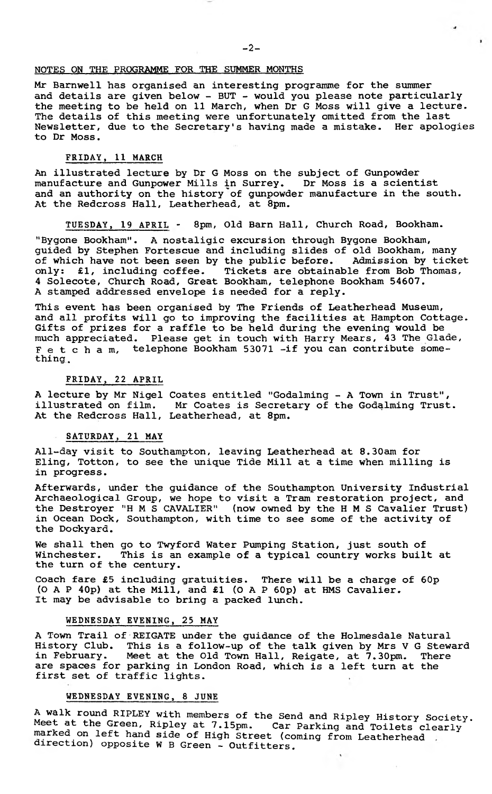#### **NQTES ON THE PROGRAMME FOR THE SUMMER MONTHS**

**Mr Barnwell has organised an interesting programme for the summer and details are given below - BUT - would you please note particularly the meeting to be held on 11 March, when Dr G Moss will give a lecture. The details of this meeting were unfortunately omitted from the last Newsletter, due to the Secretary's having made a mistake. Her apologies to Dr Moss.**

# FRIDAY, 11 MARCH

**An illustrated lecture by Dr G Moss on the subject of Gunpowder** manufacture and Gunpower Mills in Surrey. **and an authority on the history of gunpowder manufacture in the south. At the Redcross Hall, Leatherhead, at 8pm.**

**TUESDAY, 19 APRIL - 8pm, Old Barn Hall, Church Road, Bookham.**

**"Bygone Bookham". A nostaligic excursion through Bygone Bookham, guided by Stephen Fortescue and including slides of old Bookham, many of which have not been seen by the public before. Admission by ticket only: £1, including coffee. Tickets are obtainable from Bob Thomas, 4 Solecote, Church Road, Great Bookham, telephone Bookham 54607. A stamped addressed envelope is needed for a reply.**

**This event has been organised by The Friends of Leatherhead Museum, and all profits will go to improving the facilities at Hampton Cottage. Gifts of prizes for a raffle to be held during the evening would be much appreciated. Please get in touch with Harry Mears, 43 The Glade, Fetcham, telephone Bookham 53071 -if you can contribute something .**

# FRIDAY, 22 APRIL

**A lecture by Mr Nigel Coates entitled "Godalming - A Town in Trust", illustrated on film. Mr Coates is Secretary of the Godalming Trust. At the Redcross Hall, Leatherhead, at 8pm.**

### **S ATURDAY, 21 MAY**

**All-day visit to Southampton, leaving Leatherhead at 8.30am for Eling, Totton, to see the unique Tide Mill at a time when milling is in progress.**

**Afterwards, under the guidance of the Southampton University Industrial Archaeological Group, we hope to visit a Tram restoration project, and the Destroyer "H M S CAVALIER" (now owned by the H M S Cavalier Trust) in Ocean Dock, Southampton, with time to see some of the activity of the Dockyard.**

**We shall then go to Twyford Water Pumping Station, just south of Winchester. This is an example of a typical country works built at the turn of the century.**

**Coach fare £5 including gratuities. There will be a charge of 60p (O A P 40p) at the Mill, and £1 (O A P 60p) at HMS Cavalier. It may be advisable to bring a packed lunch.**

# WEDNESDAY EVENING, 25 MAY

**A Town Trail of REIGATE under the guidance of the Holmesdale Natural History Club. This is a follow-up of the talk given by Mrs V G Steward in February. Meet at the Old Town Hall, Reigate, at 7.30pm. There are spaces for parking in London Road, which is a left turn at the first set of traffic lights.**

#### WEDNESDAY EVENING, 8 JUNE

**A walk round RIPLEY with members of the Send and Ripley History Society. Meet at the Green, Ripley at 7.15pm. Car Parking and Toilets clearly marked on left hand side of High Street (coming from Leatherhead direction) opposite W B Green - Outfitters.**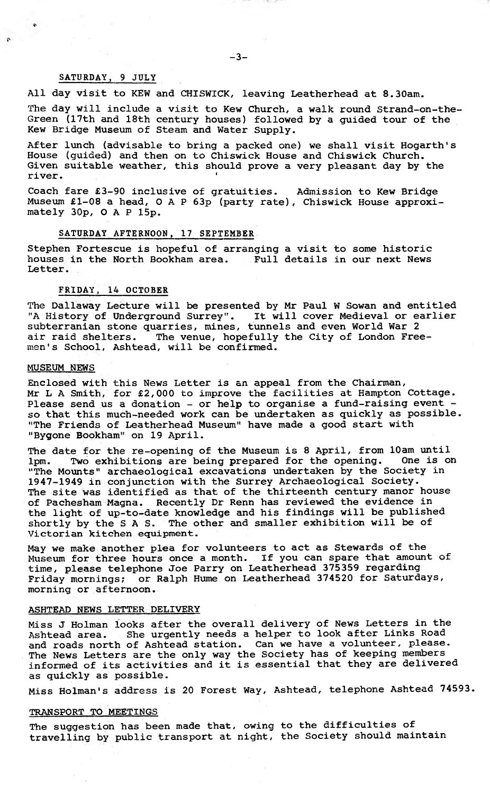### SATURDAY, 9 JULY

**All day visit to KEW and CHISWICK, leaving Leatherhead at 8.30am.**

**The day will include a visit to Kew Church, a walk round Strand-on-the-Green (17th and 18th century houses) followed by a guided tour of the Kew Bridge Museum of Steam and Water Supply.**

**After lunch (advisable to bring a packed one) we shall visit Hogarth's House (guided) and then on to Chiswick House and Chiswick Church. Given suitable weather, this should prove a very pleasant day by the river. '**

**Coach fare £3-90 inclusive of gratuities. Admission to Kew Bridge Museum £1-08 a head, O A P 63p (party rate), Chiswick House approximately 30p, O A P 15p.**

#### SATURDAY AFTERNOON, 17 SEPTEMBER

**Stephen Fortescue is hopeful of arranging a visit to some historic houses in the North Bookham area. Full details in our next News Letter.**

#### FRIDAY, 14 OCTOBER

**The Dallaway Lecture will be presented by Mr Paul W Sowan and entitled "A History of Underground Surrey". It will cover Medieval or earlier subterranian stone quarries, mines, tunnels and even World War 2** The venue, hopefully the City of London Free**men's School, Ashtead, will be confirmed.**

#### **MUSEUM NEWS**

**Enclosed with this News Letter is an appeal from the Chairman, Mr L A Smith, for £2,000 to improve the facilities at Hampton Cottage. Please send us a donation - or help to organise a fund-raising event so that this much-needed work can be undertaken as quickly as possible. "The Friends of Leatherhead Museum" have made a good start with** "Bygone Bookham" on 19 April.

**The date for the re-opening of the Museum is 8 April, from 10am until lpm.** Two exhibitions are being prepared for the opening. **"The Mounts" archaeological excavations undertaken by the Society in 1947-1949 in conjunction with the Surrey Archaeological Society. The site was identified as that of the thirteenth century manor house of Pachesham Magna. Recently Dr Renn has reviewed the evidence in the light of up-to-date knowledge and his findings will be published shortly by the S A S. The other and smaller exhibition will be of Victorian kitchen equipment.**

**May we make another plea for volunteers to act as Stewards of the Museum for three hours once a month. If you can spare that amount of time, please telephone Joe Parry on Leatherhead 375359 regarding Friday mornings? or Ralph Hume on Leatherhead 374520 for Saturdays, morning or afternoon.**

#### **ASHTEAD NEWS LETTER DELIVERY**

**Miss J Holman looks after the overall delivery of News Letters in the Ashtead area. She urgently needs a helper to look after Links Road and roads north of Ashtead station. Can we have a volunteer, please. The News Letters are the only way the Society has of keeping members informed of its activities and it is essential that they are delivered as quickly as possible.**

**Miss Holman's address is 20 Forest Way, Ashtead, telephone Ashtead 74593.**

#### **TRANSPORT TO MEETINGS**

**The suggestion has been made that, owing to the difficulties of travelling by public transport at night, the Society should maintain**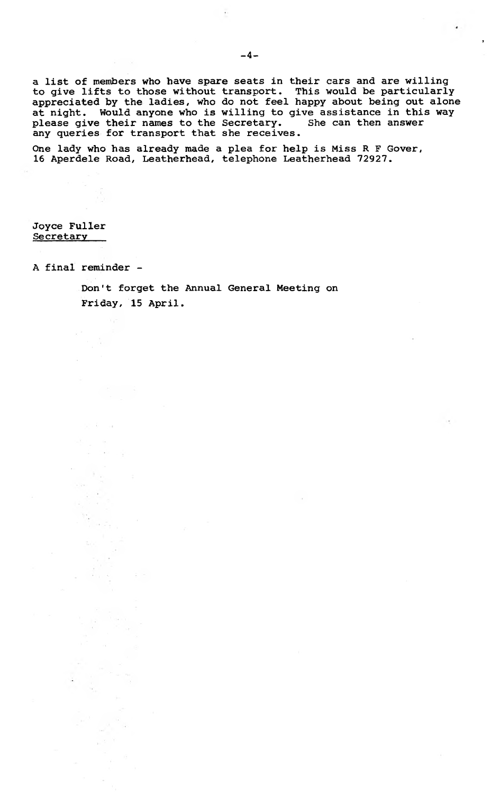**a list of members who have spare seats in their cars and are willing to give lifts to those without transport. This would be particularly appreciated by the ladies, who do not feel happy about being out alone** at night. Would anyone who is willing to give assistance in this way please give their names to the Secretary. She can then answer please give their names to the Secretary. **any queries for transport that she receives.**

**One lady who has already made a plea for help is Miss R F Gover, 16 Aperdele Road, Leatherhead, telephone Leatherhead 72927.**

**Joyce Fuller Secretary**

**A final reminder -**

**Don't forget the Annual General Meeting on Friday, 15 April.**

*J*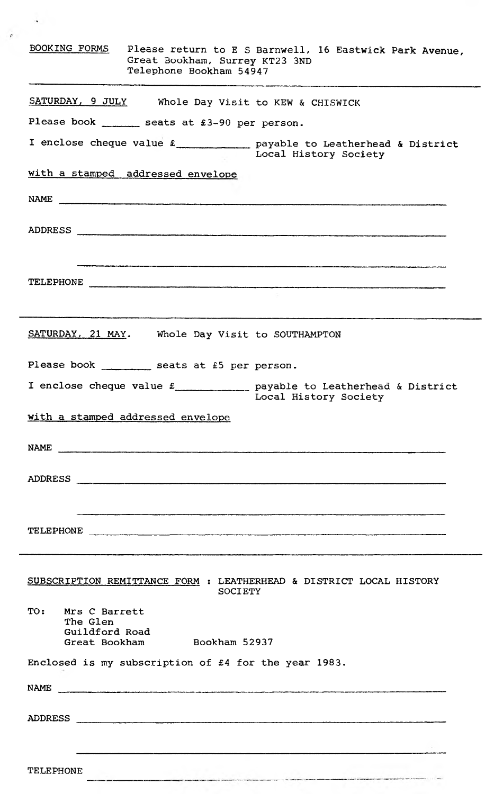| BOOKING FORMS<br>Please return to E S Barnwell, 16 Eastwick Park Avenue,<br>Great Bookham, Surrey KT23 3ND<br>Telephone Bookham 54947                                                                                                |
|--------------------------------------------------------------------------------------------------------------------------------------------------------------------------------------------------------------------------------------|
| SATURDAY, 9 JULY Whole Day Visit to KEW & CHISWICK                                                                                                                                                                                   |
| Please book _______ seats at £3-90 per person.                                                                                                                                                                                       |
| I enclose cheque value £ payable to Leatherhead & District<br>Local History Society                                                                                                                                                  |
| with a stamped addressed envelope                                                                                                                                                                                                    |
|                                                                                                                                                                                                                                      |
| ADDRESS                                                                                                                                                                                                                              |
|                                                                                                                                                                                                                                      |
| TELEPHONE <b>contract the contract of the contract of the contract of the contract of the contract of the contract of the contract of the contract of the contract of the contract of the contract of the contract of the contra</b> |
| SATURDAY, 21 MAY. Whole Day Visit to SOUTHAMPTON                                                                                                                                                                                     |
| Please book __________ seats at £5 per person.                                                                                                                                                                                       |
| I enclose cheque value £ payable to Leatherhead & District<br>Local History Society                                                                                                                                                  |
| with a stamped addressed envelope                                                                                                                                                                                                    |
| NAME                                                                                                                                                                                                                                 |
| ADDRESS                                                                                                                                                                                                                              |
|                                                                                                                                                                                                                                      |
| TELEPHONE                                                                                                                                                                                                                            |
| SUBSCRIPTION REMITTANCE FORM : LEATHERHEAD & DISTRICT LOCAL HISTORY<br>SOCIETY                                                                                                                                                       |
| TO:<br>Mrs C Barrett<br>The Glen<br>Guildford Road<br>Great Bookham<br>Bookham 52937                                                                                                                                                 |
| Enclosed is my subscription of £4 for the year 1983.                                                                                                                                                                                 |
| NAME THE CONSTRUCTION OF THE CONSTRUCTION OF THE CONSTRUCTION OF THE CONSTRUCTION OF THE CONSTRUCTION OF THE CONSTRUCTION OF THE CONSTRUCTION OF THE CONSTRUCTION OF THE CONSTRUCTION OF THE CONSTRUCTION OF THE CONSTRUCTION        |
| ADDRESS                                                                                                                                                                                                                              |
|                                                                                                                                                                                                                                      |
| TELEPHONE                                                                                                                                                                                                                            |

 $\sim$ 

 $\epsilon$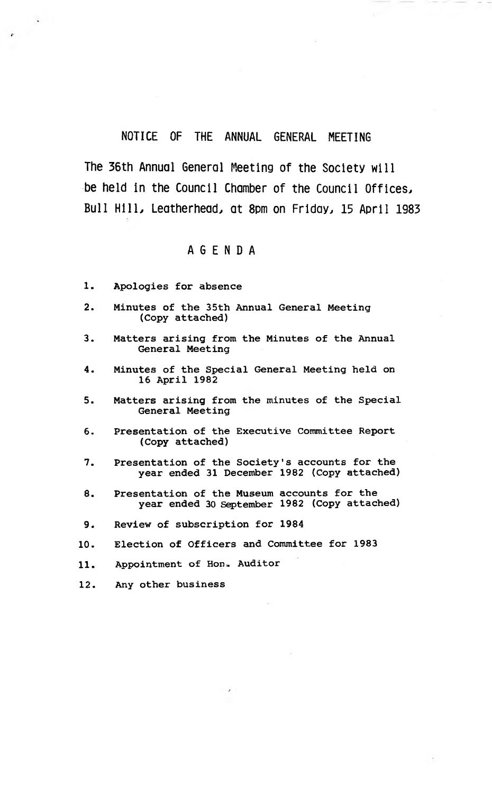# NOTICE OF THE ANNUAL GENERAL MEETING

The 36th Annual General Meeting of the Society will be held in the Council Chamber of the Council Offices, Bull Hill, Leatherhead, at 8pm on Friday, 15 April 1983

# **AGENDA**

- **1. Apologies for absence**
- **2. Minutes of the 35th Annual General Meeting (Copy attached)**
- **3. Matters arising from the Minutes of the Annual General Meeting**
- **4. Minutes of the Special General Meeting held on 16 April 1982**
- **5. Matters arising from the minutes of the Special General Meeting**
- **6. Presentation of the Executive Committee Report (Copy attached)**
- **7. Presentation of the Society's accounts for the year ended 31 December 1982 (Copy attached)**
- **8. Presentation of the Museum accounts for the year ended 30 September 1982 (Copy attached)**
- **9. Review of subscription for 1984**
- **10. Election of Officers and Committee for 1983**
- **11. Appointment of Hon- Auditor**
- **12. Any other business**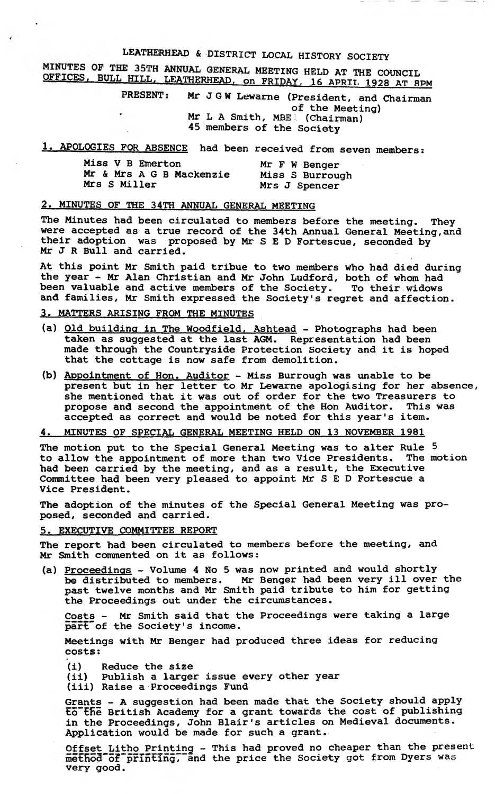LEATHERHEAD & DISTRICT LOCAL HISTORY SOCIETY

**MINUTES OF THE 35TH ANNUAL GENERAL MEETING HELD AT THE COUNCIL OFFICES, BULL HILL, LEATHERHEAD, on FRIDAY. 16 APRIL 1928 AT 8PM** 

**PRESENT; Mr J G W Lewarne (President, and Chairman of the Meeting) Mr L A Smith, MBE** i. **(Chairman) 45 members of the Society**

1. APOLOGIES FOR ABSENCE had been received from seven members:

| <b>Miss V B Emerton</b>  | Mr F W Benger   |
|--------------------------|-----------------|
| Mr & Mrs A G B Mackenzie | Miss S Burrough |
| <b>Mrs S Miller</b>      | Mrs J Spencer   |

# **2. MINUTES OF THE 34TH ANNUAL GENERAL MEETING**

**The Minutes had been circulated to members before the meeting. They were accepted as a true record of the 34th Annual General Meeting,and their adoption was proposed by Mr S E D Fortescue, seconded by Mr J R Bull and carried.**

**At this point Mr Smith paid tribue to two members who had died during the year - Mr Alan Christian and Mr John Ludford, both of whom had been valuable and active members of the Society. To their widows and families, Mr Smith expressed the Society's regret and affection.**

### **3. MATTERS ARISING FROM THE MINUTES**

 $\epsilon$ 

- **(a) Old building in The Woodfield. Ashtead Photographs had been taken as suggested at the last AGM. Representation had been made through the Countryside Protection Society and it is hoped that the cottage is now safe from demolition.**
- **(b) Appointment of Hon. Auditor Miss Burrough was unable to be present but in her letter to Mr Lewarne apologising for her absence, she mentioned that it was out of order for the two Treasurers to propose and second the appointment of the Hon Auditor. This was accepted as correct and would be noted for this year's item.**

**4. MINUTES OF SPECIAL GENERAL MEETING HELD ON 13 NOVEMBER 1981**

**The motion put to the Special General Meeting was to alter Rule 5 to allow the appointment of more than two Vice Presidents. The motion** had been carried by the meeting, and as a result, the Executive **Committee had been very pleased to appoint Mr S E D Fortescue a Vice President.**

**The adoption of the minutes of the Special General Meeting was proposed, seconded and carried.**

# **5. EXECUTIVE COMMITTEE REPORT**

**The report had been circulated to members before the meeting, and Mr Smith commented on it as follows:**

**(a) Proceedings - Volume 4 No 5 was now printed and would shortly be distributed to members. Mr Benger had been very ill over the past twelve months and Mr Smith paid tribute to him for getting the Proceedings out under the circumstances.**

**Costs - Mr Smith said that the Proceedings were taking a large part~of the Society's income.**

**Meetings with Mr Benger had produced three ideas for reducing costs:**

**(i) Reduce the size**

**(ii) Publish a larger issue every other year**

**(iii) Raise a Proceedings Fund**

**Grants - A suggestion had been made that the Society should apply to"tfii British Academy for a grant towards the cost of publishing in the Proceedings, John Blair's articles on Medieval documents. Application would be made for such a grant.**

**Offset\_Litho Printing - This had proved no cheaper than the present metRo3~oF~prIntIng, and the price the Society got from Dyers was very good.**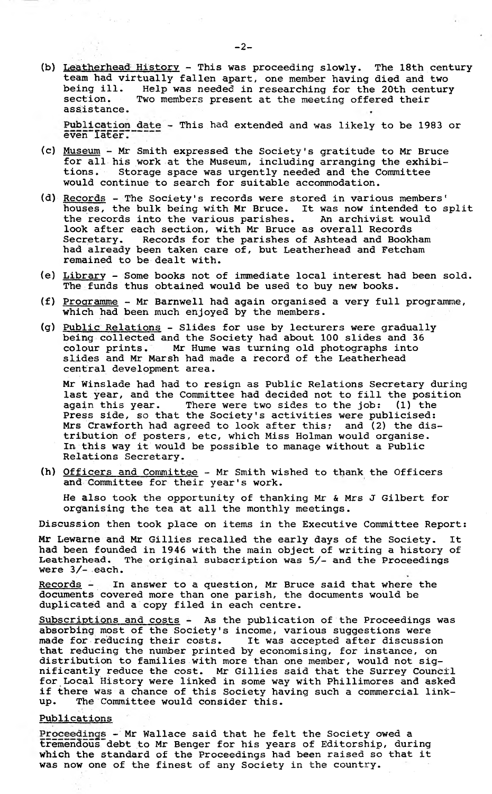**(b) Leatherhead History - This was proceeding slowly. The 18th century team had virtually fallen apart, one member having died and two being ill. Help was needed in researching for the 20th century section. Two members present at the meeting offered their assistance.**

Publication date - This had extended and was likely to be 1983 or even<sup>-</sup>Tater.

- **(c) Museum Mr Smith expressed the Society's gratitude to Mr Bruce for all his work at the Museum, including arranging the exhibi-**Storage space was urgently needed and the Committee **would continue to search for suitable accommodation.**
- **(d) Records The Society's records were stored in various members' houses, the bulk being with Mr Bruce. It was now intended to split the records into the various parishes. An archivist would look after each section, with Mr Bruce as overall Records** Records for the parishes of Ashtead and Bookham **had already been taken care of, but Leatherhead and Fetcham remained to be dealt with.**
- **(e) Library Some books not of immediate local interest had been sold. The funds thus obtained would be used to buy new books.**
- **(f) Programme Mr Barnwell had again organised a very full programme, which had been much enjoyed by the members.**
- **(g) Public Relations Slides for use by lecturers were gradually being collected and the Society had about 100 slides and 36 colour prints. Mr Hume was turning old photographs into slides and Mr Marsh had made a record of the Leatherhead central development area.**

**Mr Winslade had had to resign as Public Relations Secretary during last year, and the Committee had decided not to fill the position** There were two sides to the job: **Press side, so that the Society's activities were publicised: Mrs Crawforth had agreed to look after this; and (2) the distribution of posters, etc, which Miss Holman would organise. In this way it would be possible to manage without a Public Relations Secretary.**

**(h) Officers and Committee - Mr Smith wished to thank the Officers and Committee for their year's work.**

**He also took the opportunity of thanking Mr & Mrs J Gilbert for organising the tea at all the monthly meetings.**

**Discussion then took place on items in the Executive Committee Report:**

**Mr Lewarne and Mr Gillies recalled the early days of the Society. It had been founded in 1946 with the main object of writing a history of Leatherhead. The original subscription was 5/- and the Proceedings were 3/- each.**

**Records - In answer to a question, Mr Bruce said that where the documents covered more than one parish, the documents would be duplicated and a copy filed in each centre.**

**Subscriptions and costs - As the publication of the Proceedings was absorbing most of the Society's income, various suggestions were made for reducing their costs. It was accepted after discussion that reducing the number printed by economising, for instance, on distribution to families with more than one member, would not significantly reduce the cost. Mr Gillies said that the Surrey Council for Local History were linked in some way with Phillimores and asked** if there was a chance of this Society having such a commercial link-up. The Committee would consider this. **up. The Committee would consider this.**

### **Publications**

**~ Mr Wallace said that he felt the Society owed a** tremendous debt to Mr Benger for his years of Editorship, during **which the standard of the Proceedings had been raised so that it was now one of the finest of any Society in the country.**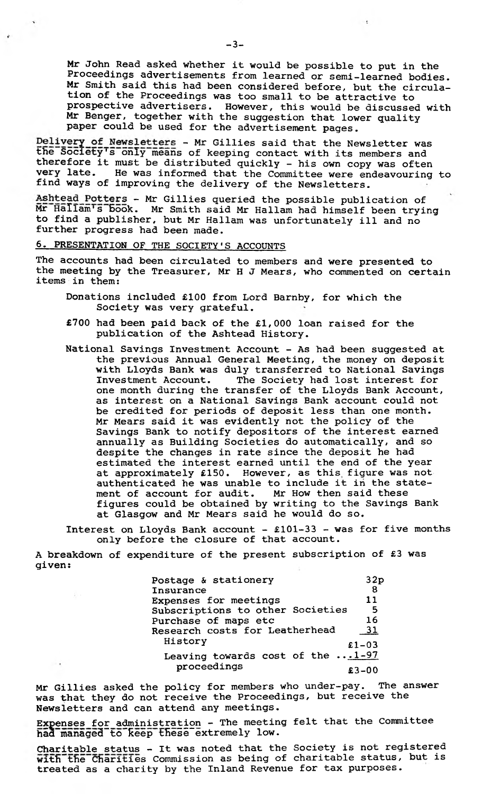**Mr John Read asked whether it would be possible to put in the Proceedings advertisements from learned or semi-learned bodies. Mr Smith said this had been considered before, but the circulation of the Proceedings was too small to be attractive to prospective advertisers. However, this would be discussed with Mr Benger, together with the suggestion that lower quality paper could be used for the advertisement pages.**

 $\sim$ 

**~ Mr Gillies said that the Newsletter was the Society's only means of keeping contact with its members and therefore it must be distributed quickly - his own copy was often very late. He was informed that the Committee were endeavouring to find ways of improving the delivery of the Newsletters.**

Ashtead Potters - Mr Gillies queried the possible publication of **Mr Hallam's Book. Mr Smith said Mr Hallam had himself been trying to find a publisher, but Mr Hallam was unfortunately ill and no further progress had been made.**

**6. PRESENTATION OF THE SOCIETY'S ACCOUNTS**

÷

**The accounts had been circulated to members and were presented to the meeting by the Treasurer, Mr H J Mears, who commented on certain items in them:**

- **Donations included £100 from Lord Barnby, for which the Society was very grateful.**
- **£700 had been paid back of the £1,000 loan raised for the publication of the Ashtead History.**
- **National Savings Investment Account As had been suggested at the previous Annual General Meeting, the money on deposit with Lloyds Bank was duly transferred to National Savings Investment Account. The Society had lost interest for one month during the transfer of the Lloyds Bank Account, as interest on a National Savings Bank account could not be credited for periods of deposit less than one month. Mr Mears said it was evidently not the policy of the Savings Bank to notify depositors of the interest earned annually as Building Societies do automatically, and so despite the changes in rate since the deposit he had estimated the interest earned until the end of the year** at approximately £150. However, as this figure was not **authenticated he was unable to include it in the statement of account for audit. Mr How then said these figures could be obtained by writing to the Savings Bank at Glasgow and Mr Mears said he would do so.**

**Interest on Lloyds Bank account - £101-33 - was for five months only before the closure of that account.**

**A breakdown of expenditure of the present subscription of £3 was given:**

| Postage & stationery              | 32p       |
|-----------------------------------|-----------|
| Insurance                         | -8        |
| Expenses for meetings             | 11        |
| Subscriptions to other Societies  | - 5       |
| Purchase of maps etc              | 16        |
| Research costs for Leatherhead    | 31        |
| History                           | $£1-03$   |
| Leaving towards cost of the  1-97 |           |
| proceedings                       | $£3 - 00$ |

**Mr Gillies asked the policy for members who under-pay. The answer was that they do not receive the Proceedings, but receive the Newsletters and can attend any meetings.**

**Expenses for administration - The meeting felt that the Committee** had managed to keep these extremely low.

**Charitable status - It was noted that the Society is not registered with"the\_Charities Commission as being of charitable status, but is treated as a charity by the Inland Revenue for tax purposes.**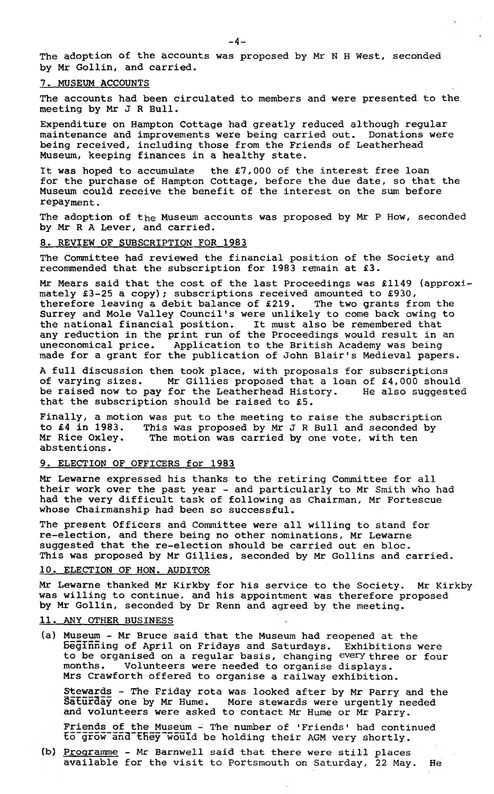**The adoption of the accounts was proposed by Mr N H West, seconded by Mr Gollin, and carried.**

#### **7. MUSEUM ACCOUNTS**

**The accounts had been circulated to members and were presented to the meeting by Mr J R Bull.**

**Expenditure on Hampton Cottage had greatly reduced although regular maintenance and improvements were being carried out. Donations were being received, including those from the Friends of Leatherhead Museum, keeping finances in a healthy state.**

**It was hoped to accumulate the £7,000 of the interest free loan for the purchase of Hampton Cottage, before the due date, so that the Museum could receive the benefit of the interest on the sum before repayment.**

**The adoption of the Museum accounts was proposed by Mr P How, seconded by Mr R A Lever, and carried.**

#### **8. REVIEW OF SUBSCRIPTION FOR 1983**

**The Committee had reviewed the financial position of the Society and recommended that the subscription for 1983 remain at £3.**

**Mr Mears said that the cost of the last Proceedings was £1149 (approximately £3-25 a copy); subscriptions received amounted to £930, therefore leaving a debit balance of £219. The two grants from the Surrey and Mole Valley Council's were unlikely to come back owing to the national financial position. It must also be remembered that any reduction in the print run of the Proceedings would result in an** Application to the British Academy was being **made for a grant for the publication of John Blair's Medieval papers.**

**A full discussion then took place, with proposals for subscriptions of varying sizes. Mr Gillies proposed that a loan of £4,000 should** be raised now to pay for the Leatherhead History. **that the subscription should be raised to £5.**

Finally, a motion was put to the meeting to raise the subscription<br>to £4 in 1983. This was proposed by Mr J R Bull and seconded by **to £4 in 1983. This was proposed by Mr J R Bull and seconded by** The motion was carried by one vote, with ten **abstentions.**

#### **9. ELECTION OF OFFICERS for 1983**

**Mr Lewarne expressed his thanks to the retiring Committee for all their work over the past year - and particularly to Mr Smith who had had the very difficult task of following as Chairman, Mr Fortescue whose Chairmanship had been so successful.**

**The present Officers and Committee were all willing to stand for re-election, and there being no other nominations, Mr Lewarne suggested that the re-election should be carried out en bloc. This was proposed by Mr Gillies, seconded by Mr Gollins and carried.**

#### **10. ELECTION OF HON. AUDITOR**

**Mr Lewarne thanked Mr Kirkby for his service to the Society. Mr Kirkby was willing to continue, and his appointment was therefore proposed by Mr Gollin, seconded by Dr Renn and agreed by the meeting.**

### **11. ANY OTHER BUSINESS**

**(a) Museum - Mr Bruce said that the Museum had reopened at the Biglnning of April on Fridays and Saturdays. Exhibitions were to be organised on a regular basis, changing every three or four months. Volunteers were needed to organise displays. Mrs Crawforth offered to organise a railway exhibition.**

**Stewards - The Friday rota was looked after by Mr Parry and the** Satur3ay **one** by **Mr Hume. More stewards were urgently needed and volunteers were asked to contact Mr Hume or Mr Parry.**

Friends of the Museum - The number of 'Friends' had continued to grow and they would be holding their AGM very shortly.

**Programme - Mr Barnwell said that there were still places available for the visit to Portsmouth on Saturday, 22 May. He**

 $-4-$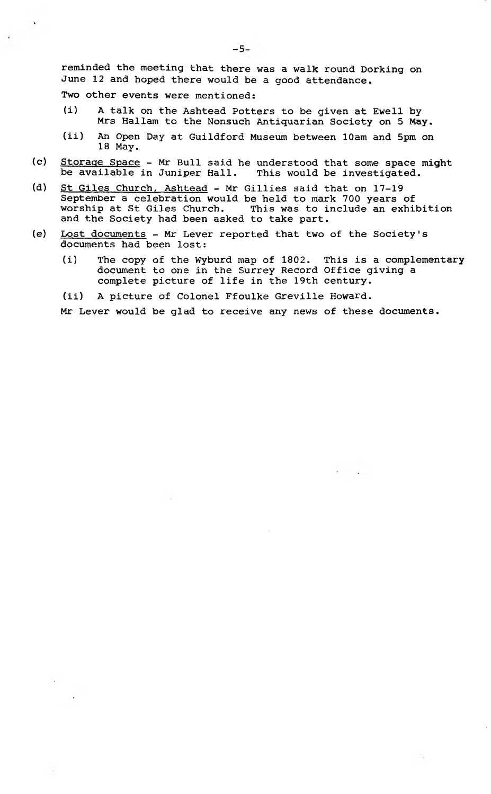**reminded the meeting that there was a walk round Dorking on June 12 and hoped there would be a good attendance.**

**Two other events were mentioned:**

- **(i) A talk on the Ashtead Potters to be given at Ewell by Mrs Hallam to the Nonsuch Antiquarian Society on 5 May.**
- **(ii) An Open Day at Guildford Museum between 10am and 5pm on 18 May.**
- **<c) Storage Space Mr Bull said he understood that some space might** be available in Juniper Hall.
- **(d) St Giles Church, Ashtead Mr Gillies said that on 17-19 September a celebration would be held to mark 700 years of** This was to include an exhibition **and the Society had been asked to take part.**
- **(e) Lost documents Mr Lever reported that two of the Society's documents had been lost:**
	- **(i) The copy of the Wyburd map of 1802. This is a complementary document to one in the Surrey Record Office giving a complete picture of life in the 19th century.**

 $\sim$   $-$ 

**(ii) A picture of Colonel Ffoulke Greville Howard.**

**Mr Lever would be glad to receive any news of these documents.**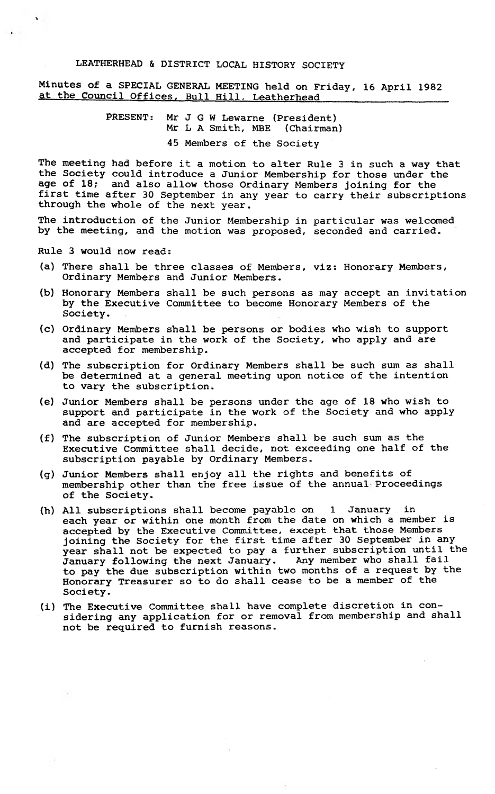# LEATHERHEAD & DISTRICT LOCAL HISTORY SOCIETY

**Minutes of a SPECIAL GENERAL MEETING held on Friday, 16 April 1982** at the Council Offices, Bull Hill. Leatherhead

> **PRESENT: Mr J G W Lewarne (President)** Mr L A Smith, MBE **45 Members of the Society**

**The meeting had before it a motion to alter Rule 3 in such a way that the Society could introduce a Junior Membership for those under the age of 18; and also allow those Ordinary Members joining for the first time after 30 September in any year to carry their subscriptions through the whole of the next year.**

**The introduction of the Junior Membership in particular was welcomed by the meeting, and the motion was proposed, seconded and carried.**

**Rule 3 would now read:**

 $\mathbf{v}$ 

- **(a) There shall be three classes of Members, viz: Honorary Members, Ordinary Members and Junior Members.**
- **(b) Honorary Members shall be such persons as may accept an invitation by the Executive Committee to become Honorary Members of the Society.**
- **(c) Ordinary Members shall be persons or bodies who wish to support and participate in the work of the Society, who apply and are accepted for membership.**
- **(d) The subscription for Ordinary Members shall be such sum as shall be determined at a general meeting upon notice of the intention to vary the subscription.**
- **(e) Junior Members shall be persons under the age of 18 who wish to support and participate in the work of the Society and who apply and are accepted for membership.**
- **(f) The subscription of Junior Members shall be such sum as the Executive Committee shall decide, not exceeding one half of the subscription payable by Ordinary Members.**
- **(g) Junior Members shall enjoy all the rights and benefits of membership other than the free issue of the annual Proceedings of the Society.**
- **(h) All subscriptions shall become payable on 1 January in each year or within one month from the date on which a member is accepted by the Executive Committee, except that those Members joining the Society for the first time after 30 September in any year shall not be expected to pay a further subscription until the January following the next January. Any member who shall fail to pay the due subscription within two months of a request by the Honorary Treasurer so to do shall cease to be a member of the Society.**
- **(i) The Executive Committee shall have complete discretion in considering any application for or removal from membership and shall not be required to furnish reasons.**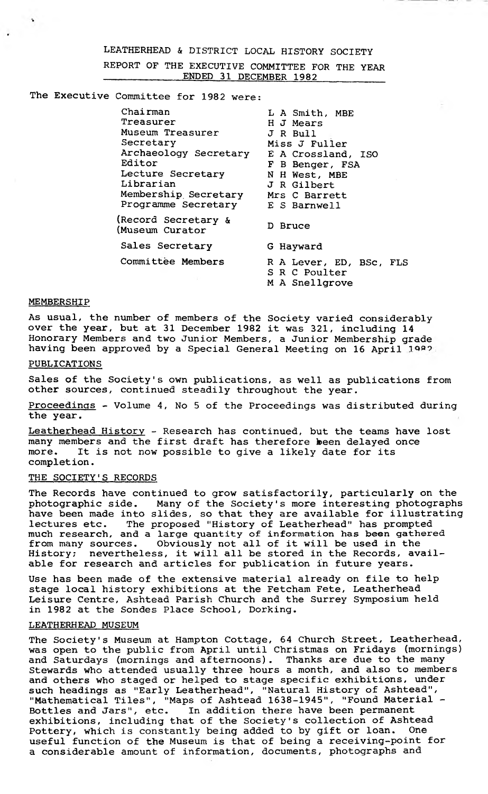# LEATHERHEAD & DISTRICT LOCAL HISTORY SOCIETY **REPORT OF THE EXECUTIVE COMMITTEE FOR THE YEAR \_\_\_\_\_\_\_\_\_ ENDED 31 DECEMBER 1982**

**The Executive Committee for 1982 were:**

| Chairman                               | L A Smith, MBE                           |
|----------------------------------------|------------------------------------------|
| Treasurer                              | H J Mears                                |
| Museum Treasurer                       | J R Bull                                 |
| Secretary                              | Miss J Fuller                            |
| Archaeology Secretary                  | E A Crossland, ISO                       |
| Editor                                 | F B Benger, FSA                          |
| Lecture Secretary                      | N H West, MBE                            |
| Librarian                              | J R Gilbert                              |
| Membership Secretary                   | Mrs C Barrett                            |
| Programme Secretary                    | E S Barnwell                             |
| (Record Secretary &<br>(Museum Curator | D Bruce                                  |
| Sales Secretary                        | G Hayward                                |
| <b>Committee Members</b>               | R A Lever, ED, BSc, FLS<br>S R C Poulter |
|                                        | M A Snellgrove                           |

#### **MEMBERSHIP**

**As usual, the number of members of the Society varied considerably over the year, but at 31 December 1982 it was 321, including 14 Honorary Members and two Junior Members, a Junior Membership grade having been approved by a Special General Meeting on 16 April**

### **PUBLICATIONS**

**Sales of the Society's own publications, as well as publications from other sources, continued steadily throughout the year.**

**Proceedings - Volume 4, No 5 of the Proceedings was distributed during the year.**

**Leatherhead History - Research has continued, but the teams have lost many members and the first draft has therefore been delayed once more. It is not now possible to give a likely date for its completion.**

### **THE SOCIETY'S RECORDS**

**The Records have continued to grow satisfactorily, particularly on the photographic side. Many of the Society's more interesting photographs have been made into slides, so that they are available for illustrating lectures etc. The proposed "History of Leatherhead" has prompted much research, and a large** quantity of information has **been** gathered **from many sources. Obviously not all of it will be used in the History; nevertheless, it will all be stored in the Records, available for research and articles for publication in future years.**

**Use has been made of the extensive material already on file to help stage local history exhibitions at the Fetcham Fete, Leatherhead Leisure Centre, Ashtead Parish Church and the Surrey Symposium held in 1982 at the Sondes Place School, Dorking.**

#### **LEATHERHEAD MUSEUM**

**The Society's Museum at Hampton Cottage, 64 Church Street, Leatherhead, was open to the public from April until Christmas on Fridays (mornings) and Saturdays (mornings and afternoons). Thanks are due to the many Stewards who attended usually three hours a month, and also to members and others who staged or helped to stage specific exhibitions, under such headings as "Early Leatherhead", "Natural History of Ashtead", "Mathematical Tiles", "Maps of Ashtead 1638-1945", "Found Material - Bottles and Jars", etc. In addition there have been permanent exhibitions, including that of the Society's collection of Ashtead Pottery, which is constantly being added to by gift or loan. One useful function of the Museum is that of being a receiving-point for a considerable amount of information, documents, photographs and**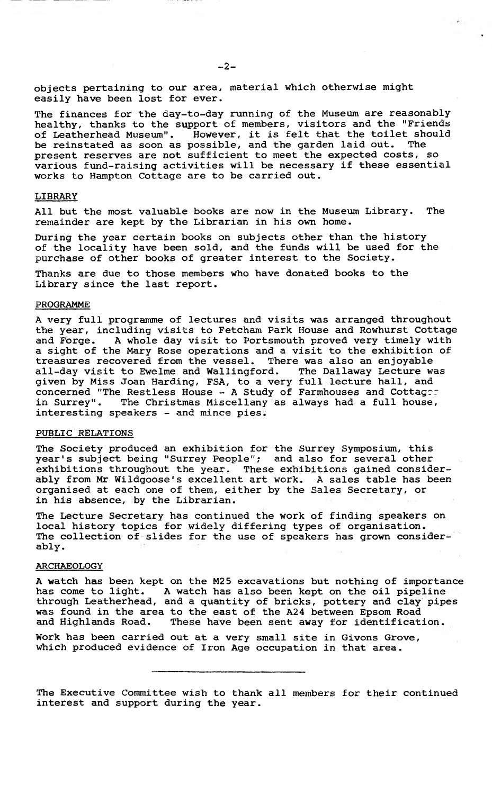**objects pertaining to our area, material which otherwise might easily have been lost for ever.**

**The finances for the day-to-day running of the Museum are reasonably healthy, thanks to the support of members, visitors and the "Friends of Leatherhead Museum". However, it is felt that the toilet should be reinstated as soon as possible, and the garden laid out. The present reserves are not sufficient to meet the expected costs, so various fund-raising activities will be necessary if these essential works to Hampton Cottage are to be carried out.**

#### **LIBRARY**

**All but the most valuable books are now in the Museum Library. The remainder are kept by the Librarian in his own home.**

**During the year certain books on subjects other than the history of the locality have been sold, and the funds will be used for the purchase of other books of greater interest to the Society.**

**Thanks are due to those members who have donated books to the Library since the last report.**

#### **PROGRAMME**

**A very full programme of lectures and visits was arranged throughout the year, including visits to Fetcham Park House and Rowhurst Cottage and Forge. A whole day visit to Portsmouth proved very timely with a sight of the Mary Rose operations and a visit to the exhibition of treasures recovered from the vessel. There was also an enjoyable** all-day visit to Ewelme and Wallingford. **given by Miss Joan Harding, FSA, to a very full lecture hall, and concerned "The Restless House - A Study of Farmhouses and Cottagc-7 in Surrey". The Christmas Miscellany as always had a full house, interesting speakers - and mince pies\***

## **PUBLIC RELATIONS**

**The Society produced an exhibition for the Surrey Symposium, this year's subject being "Surrey People"? and also for several other exhibitions throughout the year. These exhibitions gained considerably from Mr Wildgoose's excellent art work. A sales table has been organised at each one of them, either by the Sales Secretary, or in his absence, by the Librarian.**

**The Lecture Secretary has continued the work of finding speakers on local history topics for widely differing types of organisation. The collection of slides for the use of speakers has grown considerably.**

#### **ARCHAEOLOGY**

**A watch has been kept on the M25 excavations but nothing of importance has come to light. A watch has also been kept on the oil pipeline through Leatherhead, and a quantity of bricks, pottery and clay pipes was found in the area to the east of the A24 between Epsom Road** These have been sent away for identification.

**Work has been carried out at a very small site in Givons Grove, which produced evidence of Iron Age occupation in that area.**

**The Executive Committee wish to thank all members for their continued interest and support during the year.**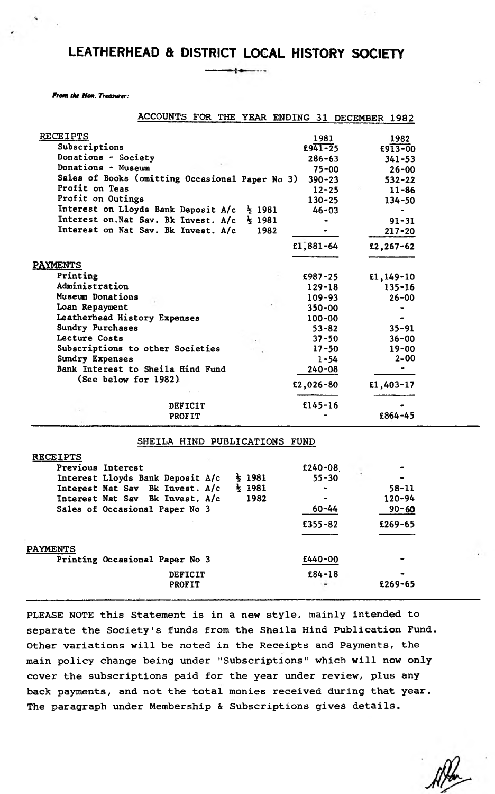# LEATHERHEAD & DISTRICT LOCAL HISTORY SOCIETY م و

....

*Prom the Hon. Treasurer:*

|                              | ACCOUNTS FOR THE YEAR ENDING 31 DECEMBER 1982   |      |             |                              |
|------------------------------|-------------------------------------------------|------|-------------|------------------------------|
| <b>RECEIPTS</b>              |                                                 |      | 1981        | 1982                         |
| Subscriptions                |                                                 |      | $E941 - 25$ | $£913-00$                    |
| Donations - Society          |                                                 |      | $286 - 63$  | $341 - 53$                   |
| Donations - Museum           |                                                 |      | $75 - 00$   | $26 - 00$                    |
|                              | Sales of Books (omitting Occasional Paper No 3) |      | $390 - 23$  | $532 - 22$                   |
| Profit on Teas               |                                                 |      | $12 - 25$   | $11 - 86$                    |
| Profit on Outings            |                                                 |      | $130 - 25$  | $134 - 50$                   |
|                              | Interest on Lloyds Bank Deposit A/c } 1981      |      | $46 - 03$   | $\qquad \qquad \blacksquare$ |
|                              | Interest on. Nat Sav. Bk Invest. A/c } 1981     |      |             | $91 - 31$                    |
|                              | Interest on Nat Sav. Bk Invest. A/c             | 1982 |             | $217 - 20$                   |
|                              |                                                 |      | $E1,881-64$ | £2,267-62                    |
| <b>PAYMENTS</b>              |                                                 |      |             |                              |
| Printing                     |                                                 |      | $£987-25$   | $£1,149-10$                  |
| Administration               |                                                 |      | $129 - 18$  | $135 - 16$                   |
| Museum Donations             |                                                 |      | $109 - 93$  | $26 - 00$                    |
| Loan Repayment               |                                                 |      | $350 - 00$  |                              |
| Leatherhead History Expenses |                                                 |      | $100 - 00$  |                              |
| Sundry Purchases             |                                                 |      | $53 - 82$   | $35 - 91$                    |
| Lecture Costs                |                                                 |      | $37 - 50$   | $36 - 00$                    |
|                              | Subscriptions to other Societies                |      | $17 - 50$   | $19 - 00$                    |
| Sundry Expenses              |                                                 |      | $1 - 54$    | $2 - 00$                     |
|                              | Bank Interest to Sheila Hind Fund               |      | $240 - 08$  |                              |
| (See below for 1982)         |                                                 |      | £2,026-80   | £1,403-17                    |
|                              | <b>DEFICIT</b>                                  |      | $£145 - 16$ |                              |
|                              | <b>PROFIT</b>                                   |      |             | £864-45                      |

|                 | Previous Interest              |                                  |                    | £240-08     |            |  |
|-----------------|--------------------------------|----------------------------------|--------------------|-------------|------------|--|
|                 |                                | Interest Lloyds Bank Deposit A/c | $\frac{1}{2}$ 1981 | $55 - 30$   |            |  |
|                 |                                | Interest Nat Sav Bk Invest. A/c  | $\frac{1}{2}$ 1981 |             | $58 - 11$  |  |
|                 |                                | Interest Nat Sav Bk Invest. A/c  | 1982               |             | $120 - 94$ |  |
|                 | Sales of Occasional Paper No 3 |                                  |                    | $60 - 44$   | $90 - 60$  |  |
|                 |                                |                                  |                    | $£355 - 82$ | $£269-65$  |  |
|                 |                                |                                  |                    |             |            |  |
| <b>PAYMENTS</b> |                                |                                  |                    |             |            |  |
|                 | Printing Occasional Paper No 3 |                                  |                    | $E440 - 00$ |            |  |
|                 |                                | DEFICIT                          |                    | $E84 - 18$  |            |  |
|                 |                                | <b>PROFIT</b>                    |                    |             | £269-65    |  |
|                 |                                |                                  |                    |             |            |  |

**PLEASE NOTE this Statement is in a new style, mainly intended to separate the Society's funds from the Sheila Hind Publication Fund. Other variations will be noted in the Receipts and Payments, the main policy change being under "Subscriptions" which will now only cover the subscriptions paid for the year under review, plus any back payments, and not the total monies received during that year. The paragraph under Membership & Subscriptions gives details.**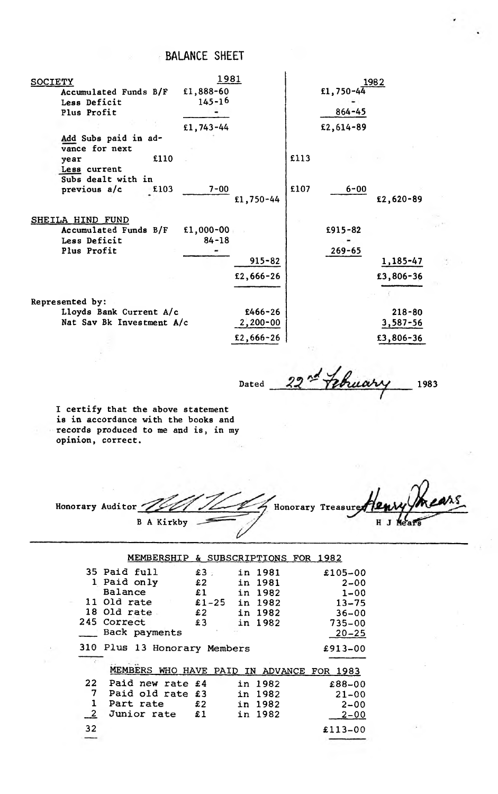# BALANCE SHEET

| <b>SOCIETY</b>             | <u> 1981 </u> |              |      |            | 1982         |  |
|----------------------------|---------------|--------------|------|------------|--------------|--|
| Accumulated Funds B/F      | £1,888-60     |              |      | £1,750-44  |              |  |
| Less Deficit               | $145 - 16$    |              |      |            |              |  |
| Plus Profit                |               |              |      | $864 - 45$ |              |  |
|                            | £1,743-44     |              |      | £2,614-89  |              |  |
| Add Subs paid in ad-       |               |              |      |            |              |  |
| vance for next             |               |              |      |            |              |  |
| £110<br>year               |               |              | £113 |            |              |  |
| Less current               |               |              |      |            |              |  |
| Subs dealt with in<br>£103 | $7 - 00$      |              | £107 | $6 - 00$   |              |  |
| previous a/c               |               | £1,750-44    |      |            | £2,620-89    |  |
|                            |               |              |      |            |              |  |
| SHEILA HIND FUND           |               |              |      |            |              |  |
| Accumulated Funds B/F      | £1,000-00     |              |      | $£915-82$  |              |  |
| Less Deficit               | $84 - 18$     |              |      |            |              |  |
| Plus Profit                |               |              |      | $269 - 65$ |              |  |
|                            |               | $915 - 82$   |      |            | 1,185-47     |  |
|                            |               | $£2,666-26$  |      |            | £3,806-36    |  |
|                            |               |              |      |            |              |  |
| Represented by:            |               |              |      |            |              |  |
| Lloyds Bank Current A/c    |               | $£466 - 26$  |      |            | $218 - 80$   |  |
| Nat Sav Bk Investment A/c  |               | $2,200 - 00$ |      |            | $3,587 - 56$ |  |
|                            |               | $£2,666-26$  |      |            | £3,806-36    |  |
|                            |               |              |      |            |              |  |

Dated 22<sup>nd</sup> *Hebruary* 1983

**I certify that the above statement is in accordance with the books and records produced to me and is, in my opinion, correct.**

**Honorary Auditor Honorary TreasurB A Kirkby** HJ l

|                | MEMBERSHIP                                |            | & SUBSCRIPTIONS FOR 1982 |             |
|----------------|-------------------------------------------|------------|--------------------------|-------------|
|                | 35 Paid full                              | $£3 -$     | in 1981                  | $£105 - 00$ |
|                | 1 Paid only                               | $\pmb{12}$ | in 1981                  | $2 - 00$    |
|                | Balance                                   | f1         | in 1982                  | $1 - 00$    |
|                | 11 Old rate                               |            | £1-25 in 1982            | $13 - 75$   |
|                | 18 Old rate                               | £2         | in 1982                  | $36 - 00$   |
|                | 245 Correct                               | £3         | in 1982                  | $735 - 00$  |
|                | Back payments                             |            |                          | $20 - 25$   |
|                | 310 Plus 13 Honorary Members              |            |                          | £913-00     |
|                |                                           |            |                          |             |
|                | MEMBERS WHO HAVE PAID IN ADVANCE FOR 1983 |            |                          |             |
| 22             | Paid new rate £4                          |            | in 1982                  | $£88 - 00$  |
| 7              | Paid old rate £3                          |            | in 1982                  | $21 - 00$   |
| $\mathbf{1}$   | Part rate                                 | £2         | in 1982                  | $2 - 00$    |
| $\overline{2}$ | Junior rate £1                            |            | in 1982                  | $2 - 00$    |
| 32             |                                           |            |                          | £113-00     |
|                |                                           |            |                          |             |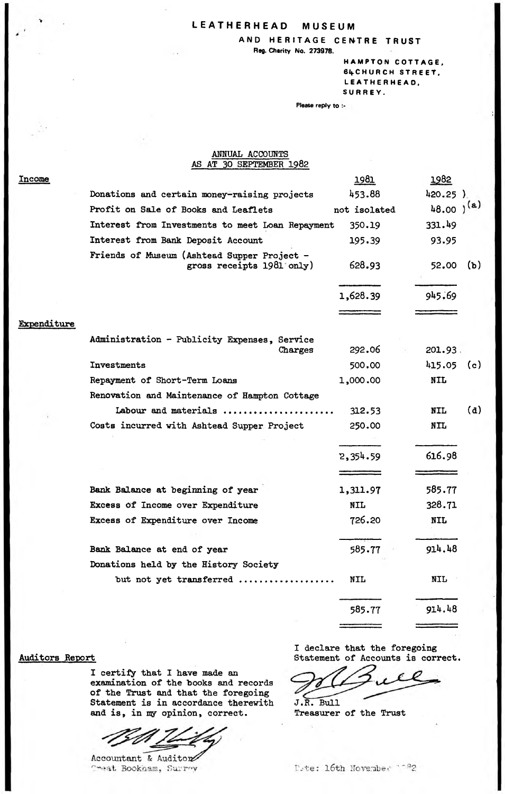# LEATHERHEAD MUSEUM

AND HERITAGE CENTRE TRUST

Reg. Charity No. 273978.

HAMPTON COTTAGE, BlfCHURCH STREET, LEATHERHEAO, SURREY.

Please reply to :-

#### **Income ANNUAL ACCOUNTS AS AT 30 SEPTEMBER 1982 Donations and certain money-raising projects Profit on Sale of Books and Leaflets Interest from Investments to meet Loan Repayment Interest from Bank Deposit Account Friends of Museum (Ashtead Supper Project gross receipts 1981 only) 1981 1+53.88 not isolated 350.19 195.39 628.93** 1982 **U20.25 )**  $48.00$   $($ a) **331.U9 93.95 52.00 (b) 1,628.39 9U5.69 Expenditure Administration - Publicity Expenses, Service Charges 292.06 Investments 500.00 Repayment of Short-Term Loans** 1,000.00 **Renovation and Maintenance of Hampton Cottage Labour and materials ................. 312.53 Costs incurred with Ashtead Supper Project 250.00 201.93 ^15-05 (c) NIL NIL (d) NIL Bank Balance at beginning of year Excess of Income over Expenditure Excess of Expenditure over Income Bank Balance at end of year Donations held by the History Society but not yet transferred ...... 2,35^.59 1,311.97 NIL** 726.20 **585.77 NIL** 616.98 **585.77 328.71 NIL** 9 1 **U.U**8 **NIL 585.77** 9 1 **^.** 1+8

**Auditors Report**

**I certify that I have made an examination of the books and records of the Trust and that the foregoing Statement is in accordance therewith and is, in my opinion, correct.**

Accountant & Auditor Creat Bookham, Surroy

**I declare that the foregoing Statement of Accounts is correct.**

**J.R. Bull Treasurer of the Trust**

Date: 16th November 1082